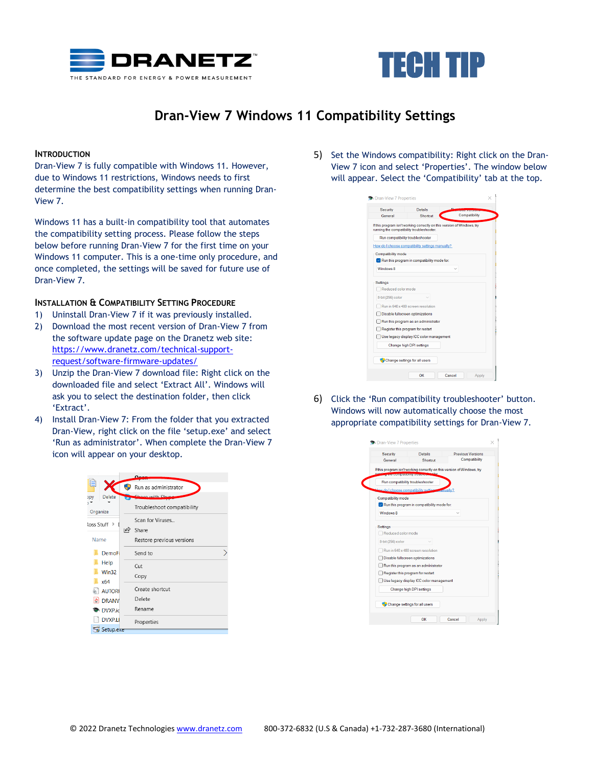



## **Dran-View 7 Windows 11 Compatibility Settings**

## **INTRODUCTION**

Dran-View 7 is fully compatible with Windows 11. However, due to Windows 11 restrictions, Windows needs to first determine the best compatibility settings when running Dran-View 7.

Windows 11 has a built-in compatibility tool that automates the compatibility setting process. Please follow the steps below before running Dran-View 7 for the first time on your Windows 11 computer. This is a one-time only procedure, and once completed, the settings will be saved for future use of Dran-View 7.

## **INSTALLATION & COMPATIBILITY SETTING PROCEDURE**

- 1) Uninstall Dran-View 7 if it was previously installed.
- 2) Download the most recent version of Dran-View 7 from the software update page on the Dranetz web site: [https://www.dranetz.com/technical-support](https://www.dranetz.com/technical-support-request/software-firmware-updates/)[request/software-firmware-updates/](https://www.dranetz.com/technical-support-request/software-firmware-updates/)
- 3) Unzip the Dran-View 7 download file: Right click on the downloaded file and select 'Extract All'. Windows will ask you to select the destination folder, then click 'Extract'.
- 4) Install Dran-View 7: From the folder that you extracted Dran-View, right click on the file 'setup.exe' and select 'Run as administrator'. When complete the Dran-View 7 icon will appear on your desktop.



5) Set the Windows compatibility: Right click on the Dran-View 7 icon and select 'Properties'. The window below will appear. Select the 'Compatibility' tab at the top.

| Security           | <b>Details</b>                                                                                                       |               |
|--------------------|----------------------------------------------------------------------------------------------------------------------|---------------|
| General            | ┍<br>Shortcut                                                                                                        | Compatibility |
|                    | If this program isn't working correctly on this version of Windows, try<br>running the compatibility troubleshooter. |               |
|                    | Run compatibility troubleshooter                                                                                     |               |
|                    | How do I choose compatibility settings manually?                                                                     |               |
| Compatibility mode |                                                                                                                      |               |
|                    | Run this program in compatibility mode for:                                                                          |               |
| Windows 8          |                                                                                                                      |               |
|                    |                                                                                                                      |               |
| <b>Settings</b>    |                                                                                                                      |               |
| Reduced color mode |                                                                                                                      |               |
| 8-bit (256) color  |                                                                                                                      |               |
|                    |                                                                                                                      |               |
|                    | Run in 640 x 480 screen resolution                                                                                   |               |
|                    | Disable fullscreen optimizations                                                                                     |               |
|                    | Run this program as an administrator                                                                                 |               |
|                    | Register this program for restart                                                                                    |               |
|                    | Use legacy display ICC color management                                                                              |               |
|                    | Change high DPI settings                                                                                             |               |
|                    |                                                                                                                      |               |
|                    | Change settings for all users                                                                                        |               |

6) Click the 'Run compatibility troubleshooter' button. Windows will now automatically choose the most appropriate compatibility settings for Dran-View 7.